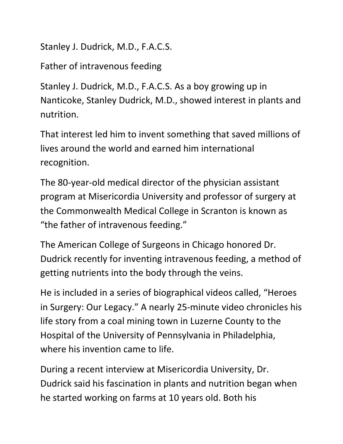Stanley J. Dudrick, M.D., F.A.C.S.

Father of intravenous feeding

Stanley J. Dudrick, M.D., F.A.C.S. As a boy growing up in Nanticoke, Stanley Dudrick, M.D., showed interest in plants and nutrition.

That interest led him to invent something that saved millions of lives around the world and earned him international recognition.

The 80-year-old medical director of the physician assistant program at Misericordia University and professor of surgery at the Commonwealth Medical College in Scranton is known as "the father of intravenous feeding."

The American College of Surgeons in Chicago honored Dr. Dudrick recently for inventing intravenous feeding, a method of getting nutrients into the body through the veins.

He is included in a series of biographical videos called, "Heroes in Surgery: Our Legacy." A nearly 25-minute video chronicles his life story from a coal mining town in Luzerne County to the Hospital of the University of Pennsylvania in Philadelphia, where his invention came to life.

During a recent interview at Misericordia University, Dr. Dudrick said his fascination in plants and nutrition began when he started working on farms at 10 years old. Both his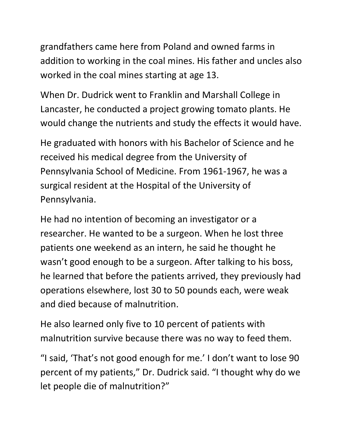grandfathers came here from Poland and owned farms in addition to working in the coal mines. His father and uncles also worked in the coal mines starting at age 13.

When Dr. Dudrick went to Franklin and Marshall College in Lancaster, he conducted a project growing tomato plants. He would change the nutrients and study the effects it would have.

He graduated with honors with his Bachelor of Science and he received his medical degree from the University of Pennsylvania School of Medicine. From 1961-1967, he was a surgical resident at the Hospital of the University of Pennsylvania.

He had no intention of becoming an investigator or a researcher. He wanted to be a surgeon. When he lost three patients one weekend as an intern, he said he thought he wasn't good enough to be a surgeon. After talking to his boss, he learned that before the patients arrived, they previously had operations elsewhere, lost 30 to 50 pounds each, were weak and died because of malnutrition.

He also learned only five to 10 percent of patients with malnutrition survive because there was no way to feed them.

"I said, 'That's not good enough for me.' I don't want to lose 90 percent of my patients," Dr. Dudrick said. "I thought why do we let people die of malnutrition?"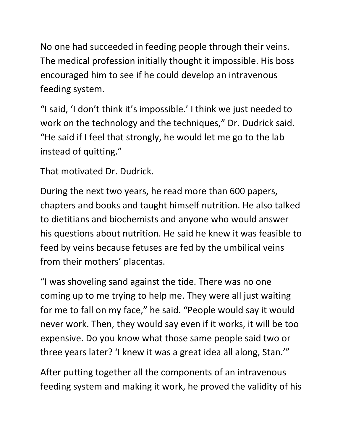No one had succeeded in feeding people through their veins. The medical profession initially thought it impossible. His boss encouraged him to see if he could develop an intravenous feeding system.

"I said, 'I don't think it's impossible.' I think we just needed to work on the technology and the techniques," Dr. Dudrick said. "He said if I feel that strongly, he would let me go to the lab instead of quitting."

That motivated Dr. Dudrick.

During the next two years, he read more than 600 papers, chapters and books and taught himself nutrition. He also talked to dietitians and biochemists and anyone who would answer his questions about nutrition. He said he knew it was feasible to feed by veins because fetuses are fed by the umbilical veins from their mothers' placentas.

"I was shoveling sand against the tide. There was no one coming up to me trying to help me. They were all just waiting for me to fall on my face," he said. "People would say it would never work. Then, they would say even if it works, it will be too expensive. Do you know what those same people said two or three years later? 'I knew it was a great idea all along, Stan.'"

After putting together all the components of an intravenous feeding system and making it work, he proved the validity of his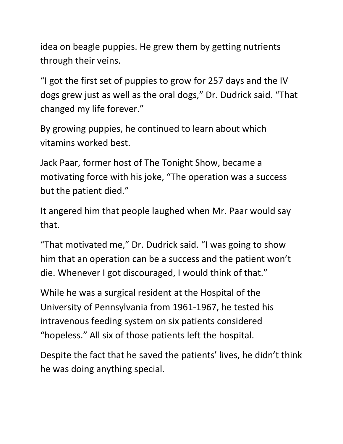idea on beagle puppies. He grew them by getting nutrients through their veins.

"I got the first set of puppies to grow for 257 days and the IV dogs grew just as well as the oral dogs," Dr. Dudrick said. "That changed my life forever."

By growing puppies, he continued to learn about which vitamins worked best.

Jack Paar, former host of The Tonight Show, became a motivating force with his joke, "The operation was a success but the patient died."

It angered him that people laughed when Mr. Paar would say that.

"That motivated me," Dr. Dudrick said. "I was going to show him that an operation can be a success and the patient won't die. Whenever I got discouraged, I would think of that."

While he was a surgical resident at the Hospital of the University of Pennsylvania from 1961-1967, he tested his intravenous feeding system on six patients considered "hopeless." All six of those patients left the hospital.

Despite the fact that he saved the patients' lives, he didn't think he was doing anything special.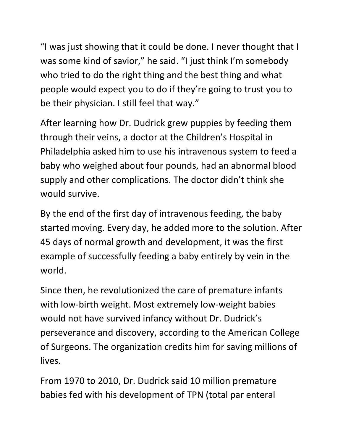"I was just showing that it could be done. I never thought that I was some kind of savior," he said. "I just think I'm somebody who tried to do the right thing and the best thing and what people would expect you to do if they're going to trust you to be their physician. I still feel that way."

After learning how Dr. Dudrick grew puppies by feeding them through their veins, a doctor at the Children's Hospital in Philadelphia asked him to use his intravenous system to feed a baby who weighed about four pounds, had an abnormal blood supply and other complications. The doctor didn't think she would survive.

By the end of the first day of intravenous feeding, the baby started moving. Every day, he added more to the solution. After 45 days of normal growth and development, it was the first example of successfully feeding a baby entirely by vein in the world.

Since then, he revolutionized the care of premature infants with low-birth weight. Most extremely low-weight babies would not have survived infancy without Dr. Dudrick's perseverance and discovery, according to the American College of Surgeons. The organization credits him for saving millions of lives.

From 1970 to 2010, Dr. Dudrick said 10 million premature babies fed with his development of TPN (total par enteral